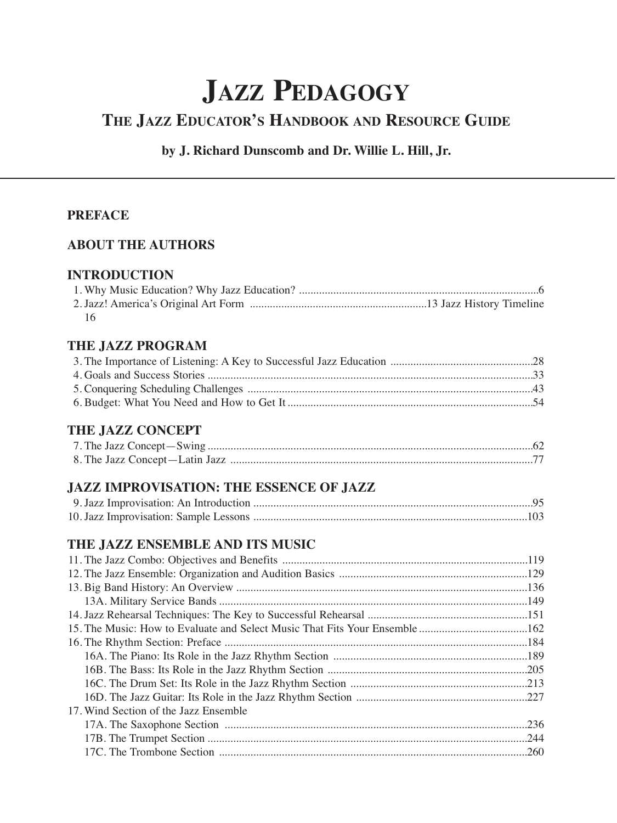# **JAZZ PEDAGOGY**

## **THE JAZZ EDUCATOR'S HANDBOOK AND RESOURCE GUIDE**

### **by J. Richard Dunscomb and Dr. Willie L. Hill, Jr.**

#### **PREFACE**

#### **ABOUT THE AUTHORS**

#### **INTRODUCTION**

| 16 |  |
|----|--|

#### **THE JAZZ PROGRAM**

#### **THE JAZZ CONCEPT**

### **JAZZ IMPROVISATION: THE ESSENCE OF JAZZ**

### **THE JAZZ ENSEMBLE AND ITS MUSIC**

| 17. Wind Section of the Jazz Ensemble |  |
|---------------------------------------|--|
|                                       |  |
|                                       |  |
|                                       |  |
|                                       |  |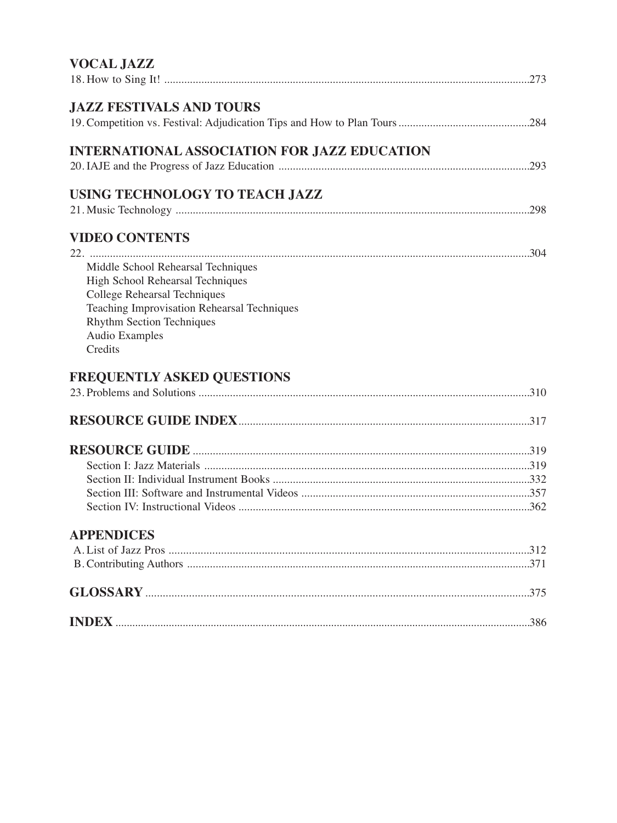| <b>JAZZ FESTIVALS AND TOURS</b>                                                 |  |
|---------------------------------------------------------------------------------|--|
|                                                                                 |  |
| <b>INTERNATIONAL ASSOCIATION FOR JAZZ EDUCATION</b>                             |  |
|                                                                                 |  |
| USING TECHNOLOGY TO TEACH JAZZ                                                  |  |
|                                                                                 |  |
| <b>VIDEO CONTENTS</b>                                                           |  |
|                                                                                 |  |
| Middle School Rehearsal Techniques                                              |  |
| High School Rehearsal Techniques                                                |  |
| <b>College Rehearsal Techniques</b>                                             |  |
| Teaching Improvisation Rehearsal Techniques<br><b>Rhythm Section Techniques</b> |  |
| <b>Audio Examples</b>                                                           |  |
| Credits                                                                         |  |
|                                                                                 |  |
| <b>FREQUENTLY ASKED QUESTIONS</b>                                               |  |
|                                                                                 |  |
|                                                                                 |  |
|                                                                                 |  |
|                                                                                 |  |
|                                                                                 |  |
|                                                                                 |  |
|                                                                                 |  |
| <b>APPENDICES</b>                                                               |  |
|                                                                                 |  |
|                                                                                 |  |
|                                                                                 |  |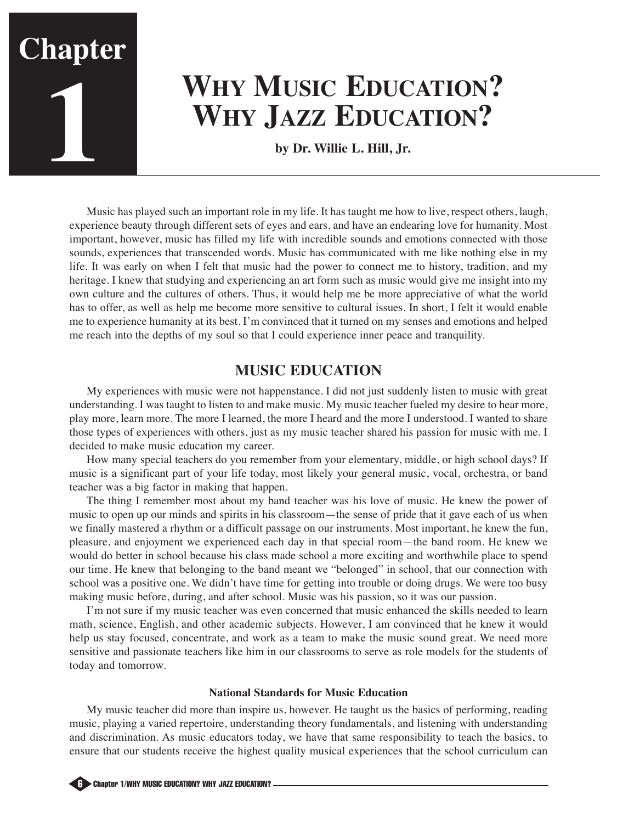

# **WHY MUSIC EDUCATION? WHY JAZZ EDUCATION?**

**by Dr. Willie L. Hill, Jr.**

Music has played such an important role in my life. It has taught me how to live, respect others, laugh, experience beauty through different sets of eyes and ears, and have an endearing love for humanity. Most important, however, music has filled my life with incredible sounds and emotions connected with those sounds, experiences that transcended words. Music has communicated with me like nothing else in my life. It was early on when I felt that music had the power to connect me to history, tradition, and my heritage. I knew that studying and experiencing an art form such as music would give me insight into my own culture and the cultures of others. Thus, it would help me be more appreciative of what the world has to offer, as well as help me become more sensitive to cultural issues. In short, I felt it would enable me to experience humanity at its best. I'm convinced that it turned on my senses and emotions and helped me reach into the depths of my soul so that I could experience inner peace and tranquility.

## **MUSIC EDUCATION**

My experiences with music were not happenstance. I did not just suddenly listen to music with great understanding. I was taught to listen to and make music. My music teacher fueled my desire to hear more, play more, learn more. The more I learned, the more I heard and the more I understood. I wanted to share those types of experiences with others, just as my music teacher shared his passion for music with me. I decided to make music education my career.

How many special teachers do you remember from your elementary, middle, or high school days? If music is a significant part of your life today, most likely your general music, vocal, orchestra, or band teacher was a big factor in making that happen.

The thing I remember most about my band teacher was his love of music. He knew the power of music to open up our minds and spirits in his classroom—the sense of pride that it gave each of us when we finally mastered a rhythm or a difficult passage on our instruments. Most important, he knew the fun, pleasure, and enjoyment we experienced each day in that special room—the band room. He knew we would do better in school because his class made school a more exciting and worthwhile place to spend our time. He knew that belonging to the band meant we "belonged" in school, that our connection with school was a positive one. We didn't have time for getting into trouble or doing drugs. We were too busy making music before, during, and after school. Music was his passion, so it was our passion.

I'm not sure if my music teacher was even concerned that music enhanced the skills needed to learn math, science, English, and other academic subjects. However, I am convinced that he knew it would help us stay focused, concentrate, and work as a team to make the music sound great. We need more sensitive and passionate teachers like him in our classrooms to serve as role models for the students of today and tomorrow.

#### **National Standards for Music Education**

My music teacher did more than inspire us, however. He taught us the basics of performing, reading music, playing a varied repertoire, understanding theory fundamentals, and listening with understanding and discrimination. As music educators today, we have that same responsibility to teach the basics, to ensure that our students receive the highest quality musical experiences that the school curriculum can